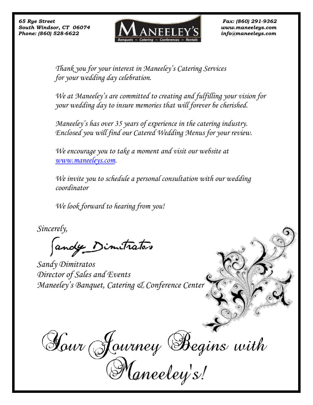

*Thank you for your interest in Maneeley's Catering Services for your wedding day celebration.*

*We at Maneeley's are committed to creating and fulfilling your vision for your wedding day to insure memories that will forever be cherished.*

*Maneeley's has over 35 years of experience in the catering industry. Enclosed you will find our Catered Wedding Menus for your review.*

*We encourage you to take a moment and visit our website at [www.maneeleys.com.](http://www.maneeleys.com/)*

*We invite you to schedule a personal consultation with our wedding coordinator* 

 *We look forward to hearing from you!*

*Sincerely,* 

andy Dimitrator

*Sandy Dimitratos Director of Sales and Events Maneeley's Banquet, Catering & Conference Center*

Hour Journey Begins with<br>Maneeley's!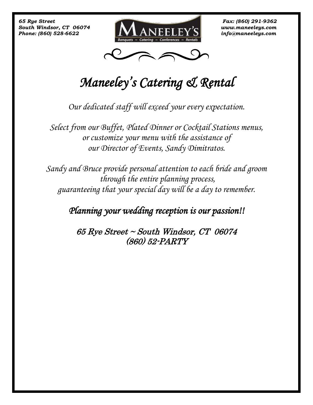



# *Maneeley's Catering & Rental*

*Our dedicated staff will exceed your every expectation.*

*Select from our Buffet, Plated Dinner or Cocktail Stations menus, or customize your menu with the assistance of our Director of Events, Sandy Dimitratos.*

*Sandy and Bruce provide personal attention to each bride and groom through the entire planning process, guaranteeing that your special day will be a day to remember.* 

# *Planning your wedding reception is our passion!!*

65 Rye Street ~ South Windsor, CT 06074 (860) 52-PARTY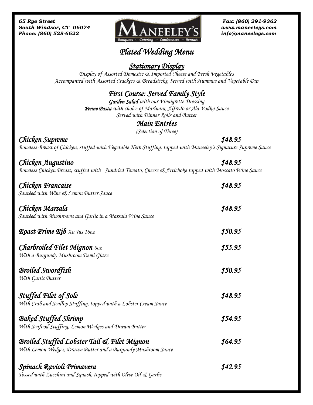

# *Plated Wedding Menu*

#### *Stationary Display*

*Display of Assorted Domestic & Imported Cheese and Fresh Vegetables Accompanied with Assorted Crackers & Breadsticks, Served with Hummus and Vegetable Dip* 

## *First Course: Served Family Style*

*Garden Salad with our Vinaigrette Dressing Penne Pasta with choice of Marinara, Alfredo or Ala Vodka Sauce Served with Dinner Rolls and Butter*

# *Main Entrées*

*(Selection of Three)* 

*Chicken Supreme \$48.95 Boneless Breast of Chicken, stuffed with Vegetable Herb Stuffing, topped with Maneeley's Signature Supreme Sauce*

*Chicken Augustino \$48.95 Boneless Chicken Breast, stuffed with Sundried Tomato, Cheese & Artichoke topped with Moscato Wine Sauce* 

| Chicken Francaise<br>Sautéed with Wine & Lemon Butter Sauce                                                             | \$48.95 |
|-------------------------------------------------------------------------------------------------------------------------|---------|
| Chicken Marsala<br>Sautéed with Mushrooms and Garlic in a Marsala Wine Sauce                                            | \$48.95 |
| <b>Roast Prime Rib</b> Au Jus $16oz$                                                                                    | \$50.95 |
| <b>Charbroiled Filet Mignon 80z</b><br>With a Burgundy Mushroom Demi Glaze                                              | \$55.95 |
| <b>Broiled Swordfish</b><br>With Garlic Butter                                                                          | \$50.95 |
| Stuffed Filet of Sole<br>With Crab and Scallop Stuffing, topped with a Lobster Cream Sauce                              | \$48.95 |
| <b>Baked Stuffed Shrimp</b><br>With Seafood Stuffing, Lemon Wedges and Drawn Butter                                     | \$54.95 |
| <b>Broiled Stuffed Lobster Tail &amp; Filet Mignon</b><br>With Lemon Wedges, Drawn Butter and a Burgundy Mushroom Sauce | \$64.95 |
| Spinach Ravioli Primavera<br>Tossed with Zucchini and Squash, topped with Olive Oil & Garlic                            | \$42.95 |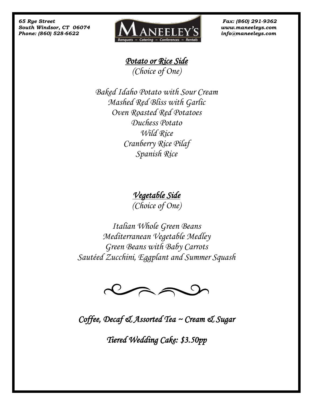

*Potato or Rice Side (Choice of One)*

*Baked Idaho Potato with Sour Cream Mashed Red Bliss with Garlic Oven Roasted Red Potatoes Duchess Potato Wild Rice Cranberry Rice Pilaf Spanish Rice* 

*Vegetable Side* 

*(Choice of One)*

*Italian Whole Green Beans Mediterranean Vegetable Medley Green Beans with Baby Carrots Sautéed Zucchini, Eggplant and Summer Squash*



*Coffee, Decaf & Assorted Tea ~ Cream & Sugar* 

*Tiered Wedding Cake: \$3.50pp*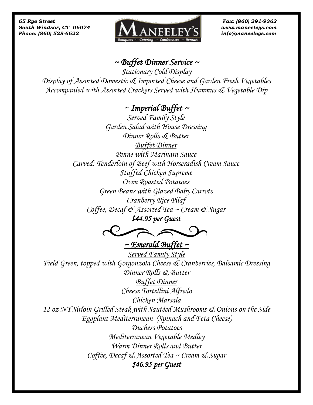

## *~ Buffet Dinner Service ~*

*Stationary Cold Display*

*Display of Assorted Domestic & Imported Cheese and Garden Fresh Vegetables Accompanied with Assorted Crackers Served with Hummus & Vegetable Dip*

# *~ Imperial Buffet ~*

*Served Family Style Garden Salad with House Dressing Dinner Rolls & Butter Buffet Dinner Penne with Marinara Sauce Carved: Tenderloin of Beef with Horseradish Cream Sauce Stuffed Chicken Supreme Oven Roasted Potatoes Green Beans with Glazed Baby Carrots Cranberry Rice Pilaf Coffee, Decaf & Assorted Tea ~ Cream & Sugar*

*\$44.95 per Guest* 

 *~ Emerald Buffet ~* 

*Served Family Style Field Green, topped with Gorgonzola Cheese & Cranberries, Balsamic Dressing Dinner Rolls & Butter Buffet Dinner Cheese Tortellini Alfredo Chicken Marsala 12 oz NY Sirloin Grilled Steak with Sautéed Mushrooms & Onions on the Side Eggplant Mediterranean (Spinach and Feta Cheese) Duchess Potatoes Mediterranean Vegetable Medley Warm Dinner Rolls and Butter Coffee, Decaf & Assorted Tea ~ Cream & Sugar \$46.95 per Guest*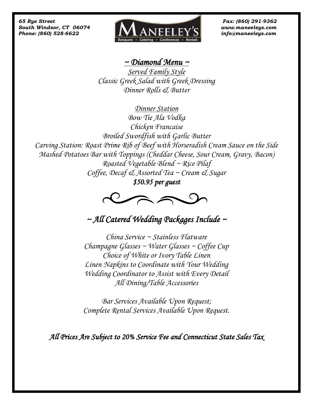

### *~ Diamond Menu ~*

*Served Family Style Classic Greek Salad with Greek Dressing Dinner Rolls & Butter* 

*Dinner Station Bow Tie Ala Vodka Chicken Francaise Broiled Swordfish with Garlic Butter Carving Station: Roast Prime Rib of Beef with Horseradish Cream Sauce on the Side Mashed Potatoes Bar with Toppings (Cheddar Cheese, Sour Cream, Gravy, Bacon) Roasted Vegetable Blend ~ Rice Pilaf Coffee, Decaf & Assorted Tea ~ Cream & Sugar*

*\$50.95 per guest* 



*~ All Catered Wedding Packages Include ~* 

*China Service ~ Stainless Flatware Champagne Glasses ~ Water Glasses ~ Coffee Cup Choice of White or Ivory Table Linen Linen Napkins to Coordinate with Your Wedding Wedding Coordinator to Assist with Every Detail All Dining/Table Accessories*

*Bar Services Available Upon Request; Complete Rental Services Available Upon Request.*

*All Prices Are Subject to 20% Service Fee and Connecticut State Sales Tax*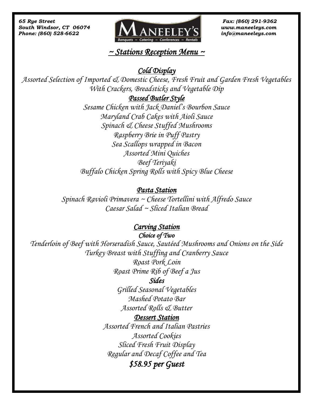

# *~ Stations Reception Menu ~*

#### *Cold Display*

*Assorted Selection of Imported & Domestic Cheese, Fresh Fruit and Garden Fresh Vegetables With Crackers, Breadsticks and Vegetable Dip* 

#### *Passed Butler Style*

*Sesame Chicken with Jack Daniel's Bourbon Sauce Maryland Crab Cakes with Aioli Sauce Spinach & Cheese Stuffed Mushrooms Raspberry Brie in Puff Pastry Sea Scallops wrapped in Bacon Assorted Mini Quiches Beef Teriyaki Buffalo Chicken Spring Rolls with Spicy Blue Cheese* 

#### *Pasta Station*

*Spinach Ravioli Primavera ~ Cheese Tortellini with Alfredo Sauce Caesar Salad ~ Sliced Italian Bread* 

#### *Carving Station*

*Choice of Two* 

*Tenderloin of Beef with Horseradish Sauce, Sautéed Mushrooms and Onions on the Side Turkey Breast with Stuffing and Cranberry Sauce Roast Pork Loin Roast Prime Rib of Beef a Jus* 

#### *Sides*

*Grilled Seasonal Vegetables Mashed Potato Bar Assorted Rolls & Butter* 

#### *Dessert Station*

*Assorted French and Italian Pastries Assorted Cookies Sliced Fresh Fruit Display Regular and Decaf Coffee and Tea \$58.95 per Guest*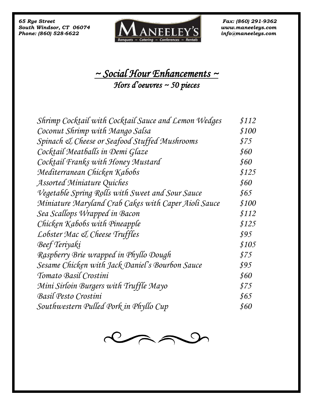*Phone: (860) 528-6622* 



# *~ Social Hour Enhancements ~ Hors d'oeuvres ~ 50 pieces*

| Shrimp Cocktail with Cocktail Sauce and Lemon Wedges | \$112 |
|------------------------------------------------------|-------|
| Coconut Shrimp with Mango Salsa                      | \$100 |
| Spinach & Cheese or Seafood Stuffed Mushrooms        | \$75  |
| Cocktail Meatballs in Demi Glaze                     | \$60  |
| Cocktail Franks with Honey Mustard                   | \$60  |
| Mediterranean Chicken Kabobs                         | \$125 |
| Assorted Miniature Quiches                           | \$60  |
| Vegetable Spring Rolls with Sweet and Sour Sauce     | \$65  |
| Miniature Maryland Crab Cakes with Caper Aioli Sauce | \$100 |
| Sea Scallops Wrapped in Bacon                        | \$112 |
| Chicken Kabobs with Pineapple                        | \$125 |
| Lobster Mac & Cheese Truffles                        | \$95  |
| Beef Teriyaki                                        | \$105 |
| Raspberry Brie wrapped in Phyllo Dough               | \$75  |
| Sesame Chicken with Jack Daniel's Bourbon Sauce      | \$95  |
| Tomato Basil Crostini                                | \$60  |
| Mini Sirloin Burgers with Truffle Mayo               | \$75  |
| Basil Pesto Crostini                                 | \$65  |
| Southwestern Pulled Pork in Phyllo Cup               | \$60  |

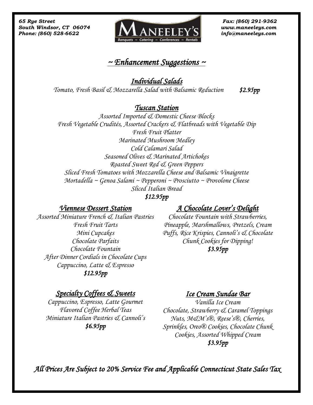

#### *~ Enhancement Suggestions ~*

*Individual Salads Tomato, Fresh Basil & Mozzarella Salad with Balsamic Reduction \$2.95pp* 

#### *Tuscan Station*

*Assorted Imported & Domestic Cheese Blocks Fresh Vegetable Crudités, Assorted Crackers & Flatbreads with Vegetable Dip Fresh Fruit Platter Marinated Mushroom Medley Cold Calamari Salad Seasoned Olives & Marinated Artichokes Roasted Sweet Red & Green Peppers Sliced Fresh Tomatoes with Mozzarella Cheese and Balsamic Vinaigrette Mortadella ~ Genoa Salami ~ Pepperoni ~ Prosciutto ~ Provolone Cheese Sliced Italian Bread*

#### *\$12.95pp*

#### *Viennese Dessert Station*

*Assorted Miniature French & Italian Pastries Fresh Fruit Tarts Mini Cupcakes Chocolate Parfaits Chocolate Fountain After Dinner Cordials in Chocolate Cups Cappuccino, Latte & Espresso \$12.95pp*

# *A Chocolate Lover's Delight*

*Chocolate Fountain with Strawberries, Pineapple, Marshmallows, Pretzels, Cream Puffs, Rice Krispies, Cannoli's & Chocolate Chunk Cookies for Dipping! \$3.95pp* 

## *Specialty Coffees & Sweets*

*Cappuccino, Espresso, Latte Gourmet Flavored Coffee Herbal Teas Miniature Italian Pastries & Cannoli's \$6.95pp* 

## *Ice Cream Sundae Bar*

*Vanilla Ice Cream Chocolate, Strawberry & Caramel Toppings Nuts, M&M's®, Reese's®, Cherries, Sprinkles, Oreo® Cookies, Chocolate Chunk Cookies, Assorted Whipped Cream \$3.95pp* 

 *All Prices Are Subject to 20% Service Fee and Applicable Connecticut State Sales Tax*